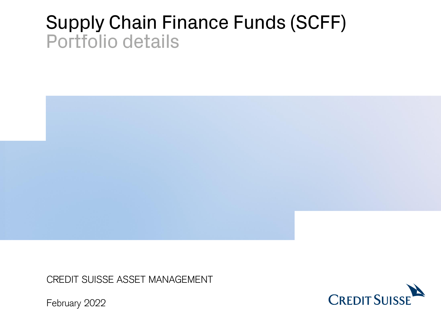# Supply Chain Finance Funds (SCFF) Portfolio details



CREDIT SUISSE ASSET MANAGEMENT



February 2022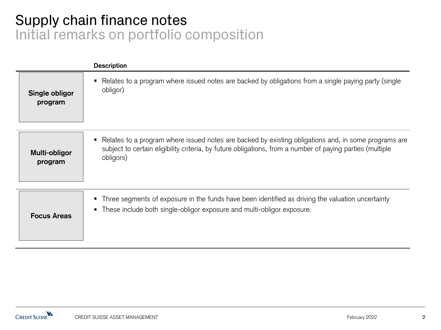# Supply chain finance notes Initial remarks on portfolio composition

|                           | <b>Description</b>                                                                                                                                                                                                                  |
|---------------------------|-------------------------------------------------------------------------------------------------------------------------------------------------------------------------------------------------------------------------------------|
| Single obligor<br>program | Relates to a program where issued notes are backed by obligations from a single paying party (single<br>obligor)                                                                                                                    |
| Multi-obligor<br>program  | Relates to a program where issued notes are backed by existing obligations and, in some programs are<br>п<br>subject to certain eligibility criteria, by future obligations, from a number of paying parties (multiple<br>obligors) |
| <b>Focus Areas</b>        | Three segments of exposure in the funds have been identified as driving the valuation uncertainty<br>٠<br>These include both single-obligor exposure and multi-obligor exposure<br>$\blacksquare$                                   |

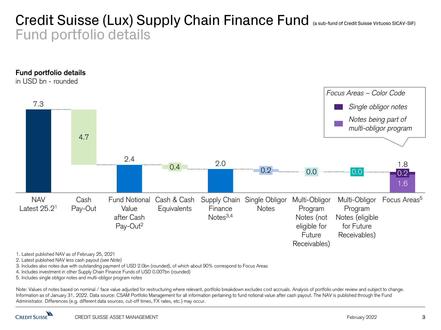## Credit Suisse (Lux) Supply Chain Finance Fund (a sub-fund of Credit Suisse Virtuoso SICAV-SIF) Fund portfolio details



2. Latest published NAV less cash payout *(see Note)*

3. Includes also notes due with outstanding payment of USD 2.0bn (rounded), of which about 90% correspond to Focus Areas

4. Includes investment in other Supply Chain Finance Funds of USD 0.007bn (rounded)

5. Includes single obligor notes and multi-obligor program notes

1. Latest published NAV as of February 25, 2021<br>
2. Latest published NAV less cash payout (*see Note)*<br>
3. Includes also notes due with outstanding payment of USD 2.0bn (rou<br>
4. Includes investment in other Supply Chain Fi Note: Values of notes based on nominal / face value adjusted for restructuring where relevant, portfolio breakdown excludes cost accruals. Analysis of portfolio under review and subject to change. Information as of January 31, 2022. Data source: CSAM Portfolio Management for all information pertaining to fund notional value after cash payout. The NAV is published through the Fund Administrator. Differences (e.g. different data sources, cut-off times, FX rates, etc.) may occur.

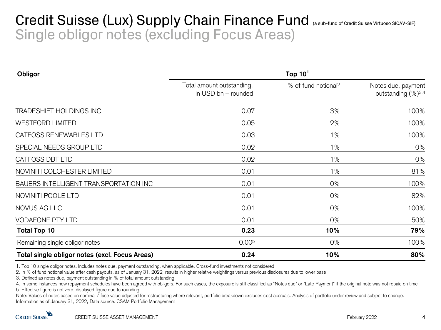## Credit Suisse (Lux) Supply Chain Finance Fund (a sub-fund of Credit Suisse Virtuoso SICAV-SIF) Single obligor notes (excluding Focus Areas)

| Obligor                                        | Top $101$                                        |                                 |                                                      |  |  |
|------------------------------------------------|--------------------------------------------------|---------------------------------|------------------------------------------------------|--|--|
|                                                | Total amount outstanding,<br>in USD bn - rounded | % of fund notional <sup>2</sup> | Notes due, payment<br>outstanding (%) <sup>3,4</sup> |  |  |
| TRADESHIFT HOLDINGS INC                        | 0.07                                             | 3%                              | 100%                                                 |  |  |
| <b>WESTFORD LIMITED</b>                        | 0.05                                             | 2%                              | 100%                                                 |  |  |
| CATFOSS RENEWABLES LTD                         | 0.03                                             | $1\%$                           | 100%                                                 |  |  |
| SPECIAL NEEDS GROUP LTD                        | 0.02                                             | 1%                              | 0%                                                   |  |  |
| CATFOSS DBT LTD                                | 0.02                                             | 1%                              | 0%                                                   |  |  |
| NOVINITI COLCHESTER LIMITED                    | 0.01                                             | $1\%$                           | 81%                                                  |  |  |
| BAUERS INTELLIGENT TRANSPORTATION INC          | 0.01                                             | 0%                              | 100%                                                 |  |  |
| NOVINITI POOLE LTD                             | 0.01                                             | 0%                              | 82%                                                  |  |  |
| NOVUS AG LLC                                   | 0.01                                             | 0%                              | 100%                                                 |  |  |
| <b>VODAFONE PTY LTD</b>                        | 0.01                                             | 0%                              | 50%                                                  |  |  |
| <b>Total Top 10</b>                            | 0.23                                             | 10%                             | 79%                                                  |  |  |
| Remaining single obligor notes                 | 0.00 <sup>5</sup>                                | 0%                              | 100%                                                 |  |  |
| Total single obligor notes (excl. Focus Areas) | 0.24                                             | 10%                             | 80%                                                  |  |  |

2. In % of fund notional value after cash payouts, as of January 31, 2022; results in higher relative weightings versus previous disclosures due to lower base

3. Defined as notes due, payment outstanding in % of total amount outstanding

4. In some instances new repayment schedules have been agreed with obligors. For such cases, the exposure is still classified as "Notes due" or "Late Payment" if the original note was not repaid on time 5. Effective figure is not zero, displayed figure due to rounding

1. Top 10 single obligor notes. Includes notes due, payment outstanding, when applicable. Cross-fund investments not considered<br>
2. In % of fund notional value after cash payouts, as of January 31, 2022; results in higher Note: Values of notes based on nominal / face value adjusted for restructuring where relevant, portfolio breakdown excludes cost accruals. Analysis of portfolio under review and subject to change. Information as of January 31, 2022, Data source: CSAM Portfolio Management

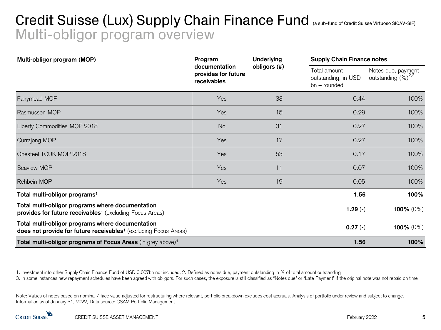# Credit Suisse (Lux) Supply Chain Finance Fund (a sub-fund of Credit Suisse Virtuoso SICAV-SIF) Multi-obligor program overview

| Multi-obligor program (MOP)                                                                                                      | Program<br>documentation<br>provides for future<br>receivables | <b>Underlying</b> |                                                       | <b>Supply Chain Finance notes</b>     |  |
|----------------------------------------------------------------------------------------------------------------------------------|----------------------------------------------------------------|-------------------|-------------------------------------------------------|---------------------------------------|--|
|                                                                                                                                  |                                                                | obligors (#)      | Total amount<br>outstanding, in USD<br>$bn$ – rounded | Notes due, payment<br>outstanding (%) |  |
| Fairymead MOP                                                                                                                    | Yes                                                            | 33                | 0.44                                                  | 100%                                  |  |
| Rasmussen MOP                                                                                                                    | Yes                                                            | 15                | 0.29                                                  | 100%                                  |  |
| Liberty Commodities MOP 2018                                                                                                     | No                                                             | 31                | 0.27                                                  | 100%                                  |  |
| Currajong MOP                                                                                                                    | Yes                                                            | 17                | 0.27                                                  | 100%                                  |  |
| Onesteel TCUK MOP 2018                                                                                                           | Yes                                                            | 53                | 0.17                                                  | 100%                                  |  |
| Seaview MOP                                                                                                                      | Yes                                                            | 11                | 0.07                                                  | 100%                                  |  |
| Rehbein MOP                                                                                                                      | Yes                                                            | 19                | 0.05                                                  | 100%                                  |  |
| Total multi-obligor programs <sup>1</sup>                                                                                        |                                                                |                   | 1.56                                                  | 100%                                  |  |
| Total multi-obligor programs where documentation<br>provides for future receivables <sup>1</sup> (excluding Focus Areas)         |                                                                |                   | 1.29 $(-)$                                            | 100% $(0%)$                           |  |
| Total multi-obligor programs where documentation<br>does not provide for future receivables <sup>1</sup> (excluding Focus Areas) |                                                                |                   | $0.27(-)$                                             | 100% $(0%)$                           |  |
| Total multi-obligor programs of Focus Areas (in grey above) <sup>1</sup>                                                         |                                                                |                   | 1.56                                                  | 100%                                  |  |

1. Investment into other Supply Chain Finance Fund of USD 0.007bn not included; 2. Defined as notes due, payment outstanding in % of total amount outstanding

3. In some instances new repayment schedules have been agreed with obligors. For such cases, the exposure is still classified as "Notes due" or "Late Payment" if the original note was not repaid on time

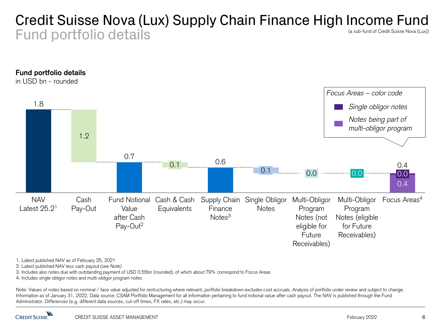#### Credit Suisse Nova (Lux) Supply Chain Finance High Income Fund Fund portfolio details (a sub-fund of Credit Suisse Nova (Lux))



1. Latest published NAV as of February 25, 2021

2. Latest published NAV less cash payout *(see Note)*

3. Includes also notes due with outstanding payment of USD 0.55bn (rounded), of which about 79% correspond to Focus Areas

4. Includes single obligor notes and multi-obligor program notes

Note: Values of notes based on nominal / face value adjusted for restructuring where relevant, portfolio breakdown excludes cost accruals. Analysis of portfolio under review and subject to change. Information as of January 31, 2022, Data source: CSAM Portfolio Management for all information pertaining to fund notional value after cash payout. The NAV is published through the Fund Administrator. Differences (e.g. different data sources, cut-off times, FX rates, etc.) may occur.

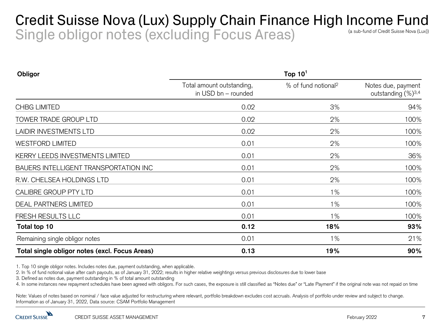#### Credit Suisse Nova (Lux) Supply Chain Finance High Income Fund Single obligor notes (excluding Focus Areas) (a sub-fund of Credit Suisse Nova (Lux))

| <b>Obligor</b>                                 | Top $101$                                        |                                 |                                                      |  |  |
|------------------------------------------------|--------------------------------------------------|---------------------------------|------------------------------------------------------|--|--|
|                                                | Total amount outstanding,<br>in USD bn - rounded | % of fund notional <sup>2</sup> | Notes due, payment<br>outstanding (%) <sup>3,4</sup> |  |  |
| <b>CHBG LIMITED</b>                            | 0.02                                             | 3%                              | 94%                                                  |  |  |
| <b>TOWER TRADE GROUP LTD</b>                   | 0.02                                             | 2%                              | 100%                                                 |  |  |
| <b>LAIDIR INVESTMENTS LTD</b>                  | 0.02                                             | 2%                              | 100%                                                 |  |  |
| <b>WESTFORD LIMITED</b>                        | 0.01                                             | 2%                              | 100%                                                 |  |  |
| KERRY LEEDS INVESTMENTS LIMITED                | 0.01                                             | 2%                              | 36%                                                  |  |  |
| BAUERS INTELLIGENT TRANSPORTATION INC          | 0.01                                             | 2%                              | 100%                                                 |  |  |
| R.W. CHELSEA HOLDINGS LTD                      | 0.01                                             | 2%                              | 100%                                                 |  |  |
| CALIBRE GROUP PTY LTD                          | 0.01                                             | $1\%$                           | 100%                                                 |  |  |
| <b>DEAL PARTNERS LIMITED</b>                   | 0.01                                             | $1\%$                           | 100%                                                 |  |  |
| FRESH RESULTS LLC                              | 0.01                                             | $1\%$                           | 100%                                                 |  |  |
| Total top 10                                   | 0.12                                             | 18%                             | 93%                                                  |  |  |
| Remaining single obligor notes                 | 0.01                                             | $1\%$                           | 21%                                                  |  |  |
| Total single obligor notes (excl. Focus Areas) | 0.13                                             | 19%                             | 90%                                                  |  |  |

1. Top 10 single obligor notes. Includes notes due, payment outstanding, when applicable.

2. In % of fund notional value after cash payouts, as of January 31, 2022; results in higher relative weightings versus previous disclosures due to lower base

3. Defined as notes due, payment outstanding in % of total amount outstanding

4. In some instances new repayment schedules have been agreed with obligors. For such cases, the exposure is still classified as "Notes due" or "Late Payment" if the original note was not repaid on time

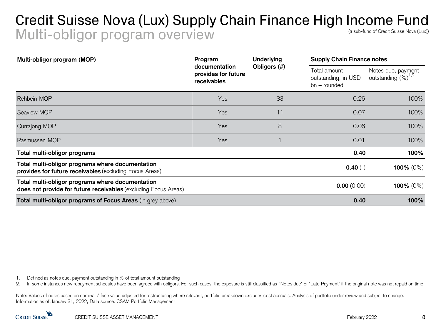#### Credit Suisse Nova (Lux) Supply Chain Finance High Income Fund Multi-obligor program overview (a sub-fund of Credit Suisse Nova (Lux))

| Multi-obligor program (MOP)                                                                                                | Program<br>documentation<br>provides for future<br>receivables | Underlying<br>Obligors (#) | <b>Supply Chain Finance notes</b>                     |                                       |
|----------------------------------------------------------------------------------------------------------------------------|----------------------------------------------------------------|----------------------------|-------------------------------------------------------|---------------------------------------|
|                                                                                                                            |                                                                |                            | Total amount<br>outstanding, in USD<br>$bn$ – rounded | Notes due, payment<br>outstanding (%) |
| Rehbein MOP                                                                                                                | Yes                                                            | 33                         | 0.26                                                  | 100%                                  |
| Seaview MOP                                                                                                                | Yes                                                            | 11                         | 0.07                                                  | 100%                                  |
| Currajong MOP                                                                                                              | Yes                                                            | 8                          | 0.06                                                  | 100%                                  |
| Rasmussen MOP                                                                                                              | Yes                                                            |                            | 0.01                                                  | 100%                                  |
| Total multi-obligor programs                                                                                               |                                                                |                            | 0.40                                                  | 100%                                  |
| Total multi-obligor programs where documentation<br>provides for future receivables (excluding Focus Areas)                |                                                                |                            | $0.40(-)$                                             | 100% $(0%)$                           |
| Total multi-obligor programs where documentation<br><b>does not provide for future receivables</b> (excluding Focus Areas) |                                                                |                            | 0.00(0.00)                                            | 100% $(0%)$                           |
| Total multi-obligor programs of Focus Areas (in grey above)                                                                |                                                                |                            | 0.40                                                  | 100%                                  |

1. Defined as notes due, payment outstanding in % of total amount outstanding

2. In some instances new repayment schedules have been agreed with obligors. For such cases, the exposure is still classified as "Notes due" or "Late Payment" if the original note was not repaid on time

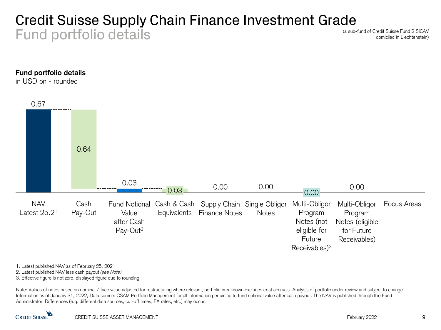### Credit Suisse Supply Chain Finance Investment Grade Fund portfolio details

(a sub-fund of Credit Suisse Fund 2 SICAV domiciled in Liechtenstein)

#### **Fund portfolio details**

in USD bn - rounded



1. Latest published NAV as of February 25, 2021

2. Latest published NAV less cash payout *(see Note)*

3. Effective figure is not zero, displayed figure due to rounding

Note: Values of notes based on nominal / face value adjusted for restructuring where relevant, portfolio breakdown excludes cost accruals. Analysis of portfolio under review and subject to change. Information as of January 31, 2022, Data source: CSAM Portfolio Management for all information pertaining to fund notional value after cash payout. The NAV is published through the Fund Administrator. Differences (e.g. different data sources, cut-off times, FX rates, etc.) may occur.

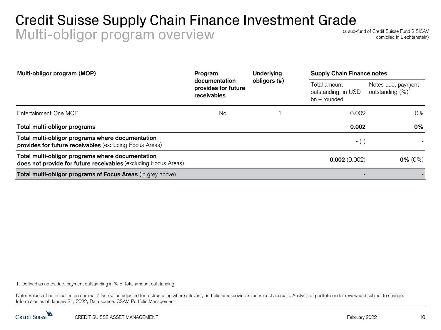## Credit Suisse Supply Chain Finance Investment Grade Multi-obligor program overview

(a sub-fund of Credit Suisse Fund 2 SICAV domiciled in Liechtenstein)

| Multi-obligor program (MOP)                                                                                         | Program<br>documentation<br>provides for future<br>receivables | <b>Underlying</b> | <b>Supply Chain Finance notes</b>                     |                                       |
|---------------------------------------------------------------------------------------------------------------------|----------------------------------------------------------------|-------------------|-------------------------------------------------------|---------------------------------------|
|                                                                                                                     |                                                                | obligors (#)      | Total amount<br>outstanding, in USD<br>$bn$ – rounded | Notes due, payment<br>outstanding (%) |
| Entertainment One MOP                                                                                               | No                                                             |                   | 0.002                                                 | 0%                                    |
| Total multi-obligor programs                                                                                        |                                                                |                   | 0.002                                                 | 0%                                    |
| Total multi-obligor programs where documentation<br>provides for future receivables (excluding Focus Areas)         |                                                                |                   | $-(-)$                                                |                                       |
| Total multi-obligor programs where documentation<br>does not provide for future receivables (excluding Focus Areas) |                                                                |                   | 0.002(0.002)                                          | $0\%$ (0%)                            |
| Total multi-obligor programs of Focus Areas (in grey above)                                                         |                                                                |                   | $\blacksquare$                                        |                                       |

1. Defined as notes due, payment outstanding in % of total amount outstanding

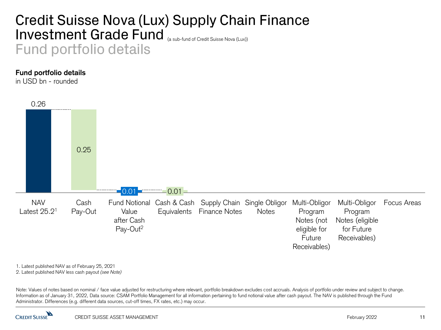## Credit Suisse Nova (Lux) Supply Chain Finance Investment Grade Fund (a sub-fund of Credit Suisse Nova (Lux)) Fund portfolio details

#### **Fund portfolio details**

in USD bn - rounded



1. Latest published NAV as of February 25, 2021

2. Latest published NAV less cash payout *(see Note)*

Note: Values of notes based on nominal / face value adjusted for restructuring where relevant, portfolio breakdown excludes cost accruals. Analysis of portfolio under review and subject to change. Information as of January 31, 2022, Data source: CSAM Portfolio Management for all information pertaining to fund notional value after cash payout. The NAV is published through the Fund Administrator. Differences (e.g. different data sources, cut-off times, FX rates, etc.) may occur.